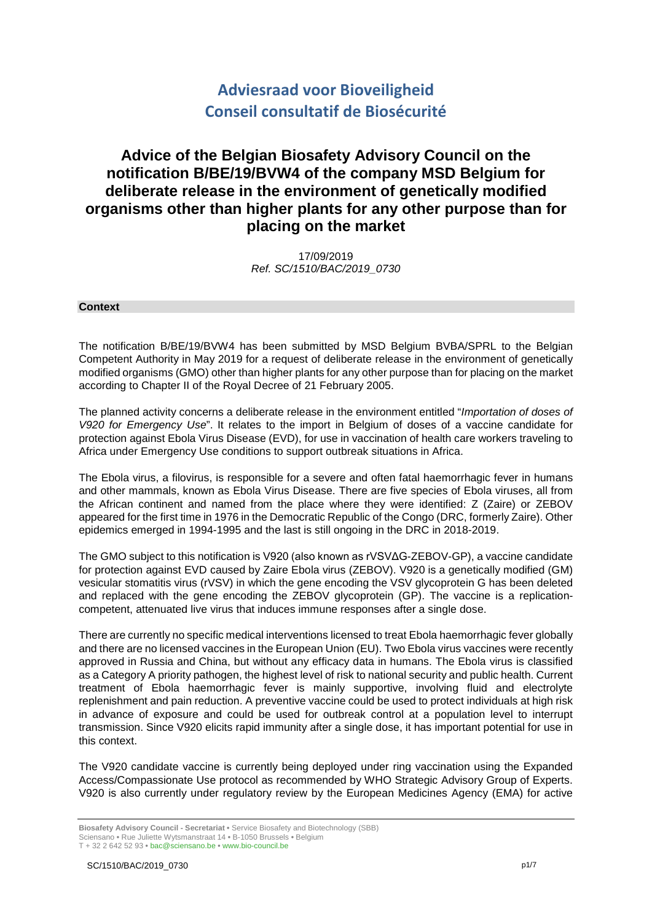# **Adviesraad voor Bioveiligheid Conseil consultatif de Biosécurité**

## **Advice of the Belgian Biosafety Advisory Council on the notification B/BE/19/BVW4 of the company MSD Belgium for deliberate release in the environment of genetically modified organisms other than higher plants for any other purpose than for placing on the market**

17/09/2019 *Ref. SC/1510/BAC/2019\_0730*

## **Context**

The notification B/BE/19/BVW4 has been submitted by MSD Belgium BVBA/SPRL to the Belgian Competent Authority in May 2019 for a request of deliberate release in the environment of genetically modified organisms (GMO) other than higher plants for any other purpose than for placing on the market according to Chapter II of the Royal Decree of 21 February 2005.

The planned activity concerns a deliberate release in the environment entitled "*Importation of doses of V920 for Emergency Use*". It relates to the import in Belgium of doses of a vaccine candidate for protection against Ebola Virus Disease (EVD), for use in vaccination of health care workers traveling to Africa under Emergency Use conditions to support outbreak situations in Africa.

The Ebola virus, a filovirus, is responsible for a severe and often fatal haemorrhagic fever in humans and other mammals, known as Ebola Virus Disease. There are five species of Ebola viruses, all from the African continent and named from the place where they were identified: Z (Zaire) or ZEBOV appeared for the first time in 1976 in the Democratic Republic of the Congo (DRC, formerly Zaire). Other epidemics emerged in 1994-1995 and the last is still ongoing in the DRC in 2018-2019.

The GMO subject to this notification is V920 (also known as rVSVΔG-ZEBOV-GP), a vaccine candidate for protection against EVD caused by Zaire Ebola virus (ZEBOV). V920 is a genetically modified (GM) vesicular stomatitis virus (rVSV) in which the gene encoding the VSV glycoprotein G has been deleted and replaced with the gene encoding the ZEBOV glycoprotein (GP). The vaccine is a replicationcompetent, attenuated live virus that induces immune responses after a single dose.

There are currently no specific medical interventions licensed to treat Ebola haemorrhagic fever globally and there are no licensed vaccines in the European Union (EU). Two Ebola virus vaccines were recently approved in Russia and China, but without any efficacy data in humans. The Ebola virus is classified as a Category A priority pathogen, the highest level of risk to national security and public health. Current treatment of Ebola haemorrhagic fever is mainly supportive, involving fluid and electrolyte replenishment and pain reduction. A preventive vaccine could be used to protect individuals at high risk in advance of exposure and could be used for outbreak control at a population level to interrupt transmission. Since V920 elicits rapid immunity after a single dose, it has important potential for use in this context.

The V920 candidate vaccine is currently being deployed under ring vaccination using the Expanded Access/Compassionate Use protocol as recommended by WHO Strategic Advisory Group of Experts. V920 is also currently under regulatory review by the European Medicines Agency (EMA) for active

**Biosafety Advisory Council - Secretariat •** Service Biosafety and Biotechnology (SBB) Sciensano **•** Rue Juliette Wytsmanstraat 14 **•** B-1050 Brussels **•** Belgium

T + 32 2 642 52 93 **•** bac@sciensano.be **•** www.bio-council.be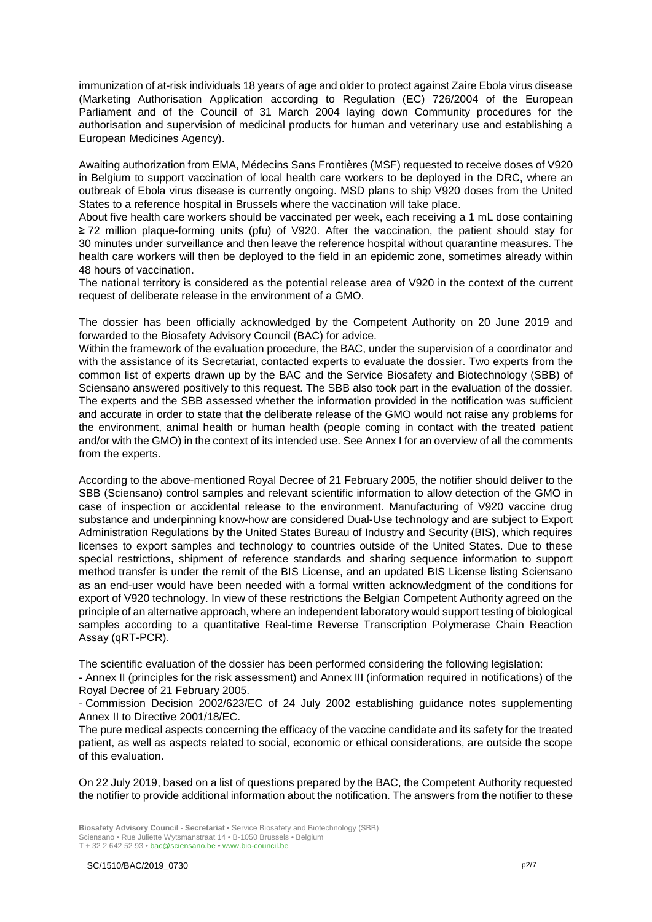immunization of at-risk individuals 18 years of age and older to protect against Zaire Ebola virus disease (Marketing Authorisation Application according to Regulation (EC) 726/2004 of the European Parliament and of the Council of 31 March 2004 laying down Community procedures for the authorisation and supervision of medicinal products for human and veterinary use and establishing a European Medicines Agency).

Awaiting authorization from EMA, Médecins Sans Frontières (MSF) requested to receive doses of V920 in Belgium to support vaccination of local health care workers to be deployed in the DRC, where an outbreak of Ebola virus disease is currently ongoing. MSD plans to ship V920 doses from the United States to a reference hospital in Brussels where the vaccination will take place.

About five health care workers should be vaccinated per week, each receiving a 1 mL dose containing ≥ 72 million plaque-forming units (pfu) of V920. After the vaccination, the patient should stay for 30 minutes under surveillance and then leave the reference hospital without quarantine measures. The health care workers will then be deployed to the field in an epidemic zone, sometimes already within 48 hours of vaccination.

The national territory is considered as the potential release area of V920 in the context of the current request of deliberate release in the environment of a GMO.

The dossier has been officially acknowledged by the Competent Authority on 20 June 2019 and forwarded to the Biosafety Advisory Council (BAC) for advice.

Within the framework of the evaluation procedure, the BAC, under the supervision of a coordinator and with the assistance of its Secretariat, contacted experts to evaluate the dossier. Two experts from the common list of experts drawn up by the BAC and the Service Biosafety and Biotechnology (SBB) of Sciensano answered positively to this request. The SBB also took part in the evaluation of the dossier. The experts and the SBB assessed whether the information provided in the notification was sufficient and accurate in order to state that the deliberate release of the GMO would not raise any problems for the environment, animal health or human health (people coming in contact with the treated patient and/or with the GMO) in the context of its intended use. See Annex I for an overview of all the comments from the experts.

According to the above-mentioned Royal Decree of 21 February 2005, the notifier should deliver to the SBB (Sciensano) control samples and relevant scientific information to allow detection of the GMO in case of inspection or accidental release to the environment. Manufacturing of V920 vaccine drug substance and underpinning know-how are considered Dual-Use technology and are subject to Export Administration Regulations by the United States Bureau of Industry and Security (BIS), which requires licenses to export samples and technology to countries outside of the United States. Due to these special restrictions, shipment of reference standards and sharing sequence information to support method transfer is under the remit of the BIS License, and an updated BIS License listing Sciensano as an end-user would have been needed with a formal written acknowledgment of the conditions for export of V920 technology. In view of these restrictions the Belgian Competent Authority agreed on the principle of an alternative approach, where an independent laboratory would support testing of biological samples according to a quantitative Real-time Reverse Transcription Polymerase Chain Reaction Assay (qRT-PCR).

The scientific evaluation of the dossier has been performed considering the following legislation:

- Annex II (principles for the risk assessment) and Annex III (information required in notifications) of the Royal Decree of 21 February 2005.

- Commission Decision 2002/623/EC of 24 July 2002 establishing guidance notes supplementing Annex II to Directive 2001/18/EC.

The pure medical aspects concerning the efficacy of the vaccine candidate and its safety for the treated patient, as well as aspects related to social, economic or ethical considerations, are outside the scope of this evaluation.

On 22 July 2019, based on a list of questions prepared by the BAC, the Competent Authority requested the notifier to provide additional information about the notification. The answers from the notifier to these

T + 32 2 642 52 93 **•** bac@sciensano.be **•** www.bio-council.be

**Biosafety Advisory Council - Secretariat •** Service Biosafety and Biotechnology (SBB) Sciensano **•** Rue Juliette Wytsmanstraat 14 **•** B-1050 Brussels **•** Belgium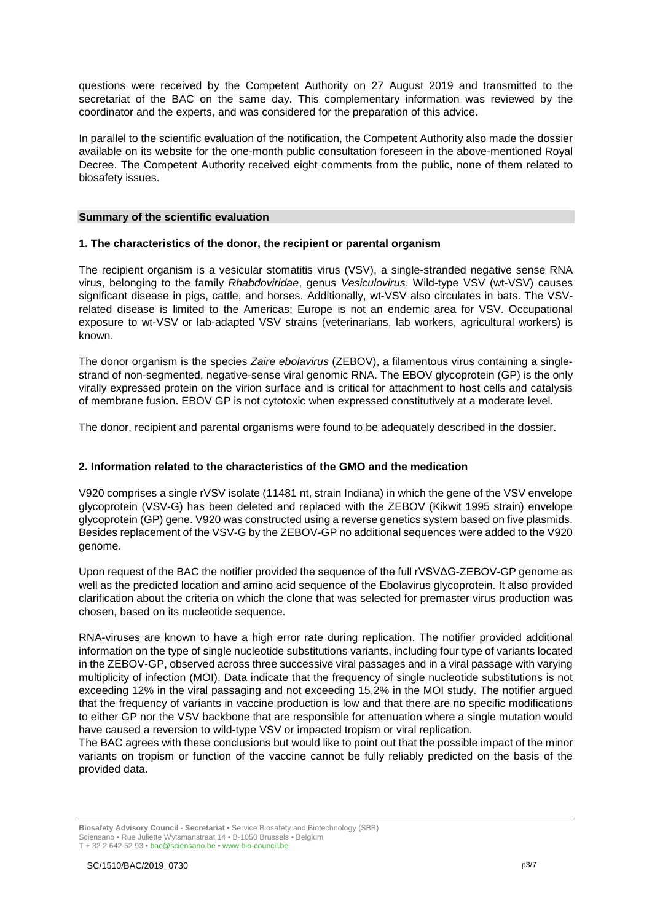questions were received by the Competent Authority on 27 August 2019 and transmitted to the secretariat of the BAC on the same day. This complementary information was reviewed by the coordinator and the experts, and was considered for the preparation of this advice.

In parallel to the scientific evaluation of the notification, the Competent Authority also made the dossier available on its website for the one-month public consultation foreseen in the above-mentioned Royal Decree. The Competent Authority received eight comments from the public, none of them related to biosafety issues.

## **Summary of the scientific evaluation**

## **1. The characteristics of the donor, the recipient or parental organism**

The recipient organism is a vesicular stomatitis virus (VSV), a single-stranded negative sense RNA virus, belonging to the family *Rhabdoviridae*, genus *Vesiculovirus*. Wild-type VSV (wt-VSV) causes significant disease in pigs, cattle, and horses. Additionally, wt-VSV also circulates in bats. The VSVrelated disease is limited to the Americas; Europe is not an endemic area for VSV. Occupational exposure to wt-VSV or lab-adapted VSV strains (veterinarians, lab workers, agricultural workers) is known.

The donor organism is the species *Zaire ebolavirus* (ZEBOV), a filamentous virus containing a singlestrand of non-segmented, negative-sense viral genomic RNA. The EBOV glycoprotein (GP) is the only virally expressed protein on the virion surface and is critical for attachment to host cells and catalysis of membrane fusion. EBOV GP is not cytotoxic when expressed constitutively at a moderate level.

The donor, recipient and parental organisms were found to be adequately described in the dossier.

## **2. Information related to the characteristics of the GMO and the medication**

V920 comprises a single rVSV isolate (11481 nt, strain Indiana) in which the gene of the VSV envelope glycoprotein (VSV-G) has been deleted and replaced with the ZEBOV (Kikwit 1995 strain) envelope glycoprotein (GP) gene. V920 was constructed using a reverse genetics system based on five plasmids. Besides replacement of the VSV-G by the ZEBOV-GP no additional sequences were added to the V920 genome.

Upon request of the BAC the notifier provided the sequence of the full rVSVΔG-ZEBOV-GP genome as well as the predicted location and amino acid sequence of the Ebolavirus glycoprotein. It also provided clarification about the criteria on which the clone that was selected for premaster virus production was chosen, based on its nucleotide sequence.

RNA-viruses are known to have a high error rate during replication. The notifier provided additional information on the type of single nucleotide substitutions variants, including four type of variants located in the ZEBOV-GP, observed across three successive viral passages and in a viral passage with varying multiplicity of infection (MOI). Data indicate that the frequency of single nucleotide substitutions is not exceeding 12% in the viral passaging and not exceeding 15,2% in the MOI study. The notifier argued that the frequency of variants in vaccine production is low and that there are no specific modifications to either GP nor the VSV backbone that are responsible for attenuation where a single mutation would have caused a reversion to wild-type VSV or impacted tropism or viral replication.

The BAC agrees with these conclusions but would like to point out that the possible impact of the minor variants on tropism or function of the vaccine cannot be fully reliably predicted on the basis of the provided data.

**Biosafety Advisory Council - Secretariat •** Service Biosafety and Biotechnology (SBB) Sciensano **•** Rue Juliette Wytsmanstraat 14 **•** B-1050 Brussels **•** Belgium T + 32 2 642 52 93 **•** bac@sciensano.be **•** www.bio-council.be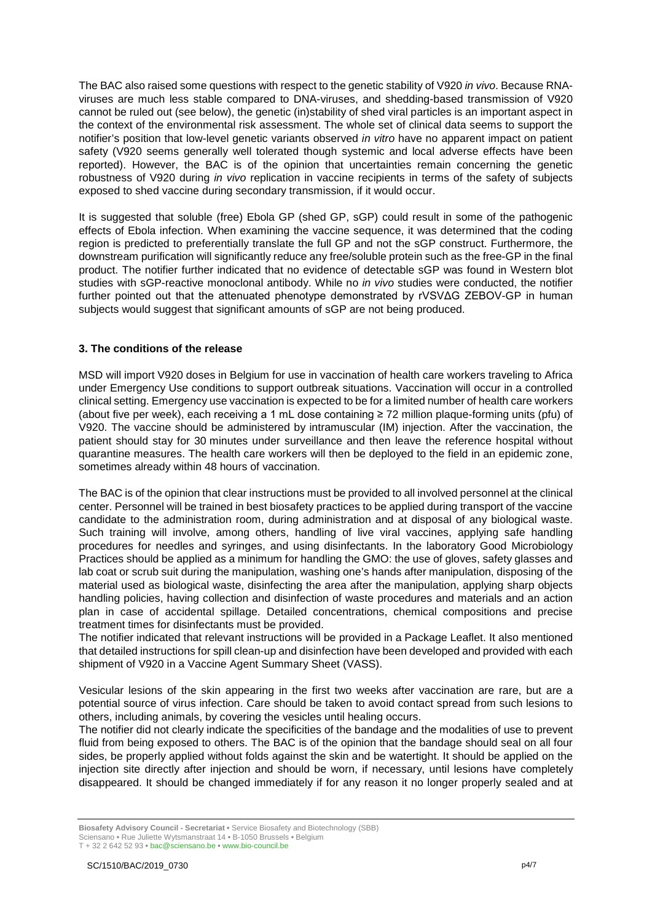The BAC also raised some questions with respect to the genetic stability of V920 *in vivo*. Because RNAviruses are much less stable compared to DNA-viruses, and shedding-based transmission of V920 cannot be ruled out (see below), the genetic (in)stability of shed viral particles is an important aspect in the context of the environmental risk assessment. The whole set of clinical data seems to support the notifier's position that low-level genetic variants observed *in vitro* have no apparent impact on patient safety (V920 seems generally well tolerated though systemic and local adverse effects have been reported). However, the BAC is of the opinion that uncertainties remain concerning the genetic robustness of V920 during *in vivo* replication in vaccine recipients in terms of the safety of subjects exposed to shed vaccine during secondary transmission, if it would occur.

It is suggested that soluble (free) Ebola GP (shed GP, sGP) could result in some of the pathogenic effects of Ebola infection. When examining the vaccine sequence, it was determined that the coding region is predicted to preferentially translate the full GP and not the sGP construct. Furthermore, the downstream purification will significantly reduce any free/soluble protein such as the free-GP in the final product. The notifier further indicated that no evidence of detectable sGP was found in Western blot studies with sGP-reactive monoclonal antibody. While no *in vivo* studies were conducted, the notifier further pointed out that the attenuated phenotype demonstrated by rVSVΔG ZEBOV-GP in human subjects would suggest that significant amounts of sGP are not being produced.

## **3. The conditions of the release**

MSD will import V920 doses in Belgium for use in vaccination of health care workers traveling to Africa under Emergency Use conditions to support outbreak situations. Vaccination will occur in a controlled clinical setting. Emergency use vaccination is expected to be for a limited number of health care workers (about five per week), each receiving a 1 mL dose containing ≥ 72 million plaque-forming units (pfu) of V920. The vaccine should be administered by intramuscular (IM) injection. After the vaccination, the patient should stay for 30 minutes under surveillance and then leave the reference hospital without quarantine measures. The health care workers will then be deployed to the field in an epidemic zone, sometimes already within 48 hours of vaccination.

The BAC is of the opinion that clear instructions must be provided to all involved personnel at the clinical center. Personnel will be trained in best biosafety practices to be applied during transport of the vaccine candidate to the administration room, during administration and at disposal of any biological waste. Such training will involve, among others, handling of live viral vaccines, applying safe handling procedures for needles and syringes, and using disinfectants. In the laboratory Good Microbiology Practices should be applied as a minimum for handling the GMO: the use of gloves, safety glasses and lab coat or scrub suit during the manipulation, washing one's hands after manipulation, disposing of the material used as biological waste, disinfecting the area after the manipulation, applying sharp objects handling policies, having collection and disinfection of waste procedures and materials and an action plan in case of accidental spillage. Detailed concentrations, chemical compositions and precise treatment times for disinfectants must be provided.

The notifier indicated that relevant instructions will be provided in a Package Leaflet. It also mentioned that detailed instructions for spill clean-up and disinfection have been developed and provided with each shipment of V920 in a Vaccine Agent Summary Sheet (VASS).

Vesicular lesions of the skin appearing in the first two weeks after vaccination are rare, but are a potential source of virus infection. Care should be taken to avoid contact spread from such lesions to others, including animals, by covering the vesicles until healing occurs.

The notifier did not clearly indicate the specificities of the bandage and the modalities of use to prevent fluid from being exposed to others. The BAC is of the opinion that the bandage should seal on all four sides, be properly applied without folds against the skin and be watertight. It should be applied on the injection site directly after injection and should be worn, if necessary, until lesions have completely disappeared. It should be changed immediately if for any reason it no longer properly sealed and at

**Biosafety Advisory Council - Secretariat •** Service Biosafety and Biotechnology (SBB)

Sciensano **•** Rue Juliette Wytsmanstraat 14 **•** B-1050 Brussels **•** Belgium T + 32 2 642 52 93 **•** bac@sciensano.be **•** www.bio-council.be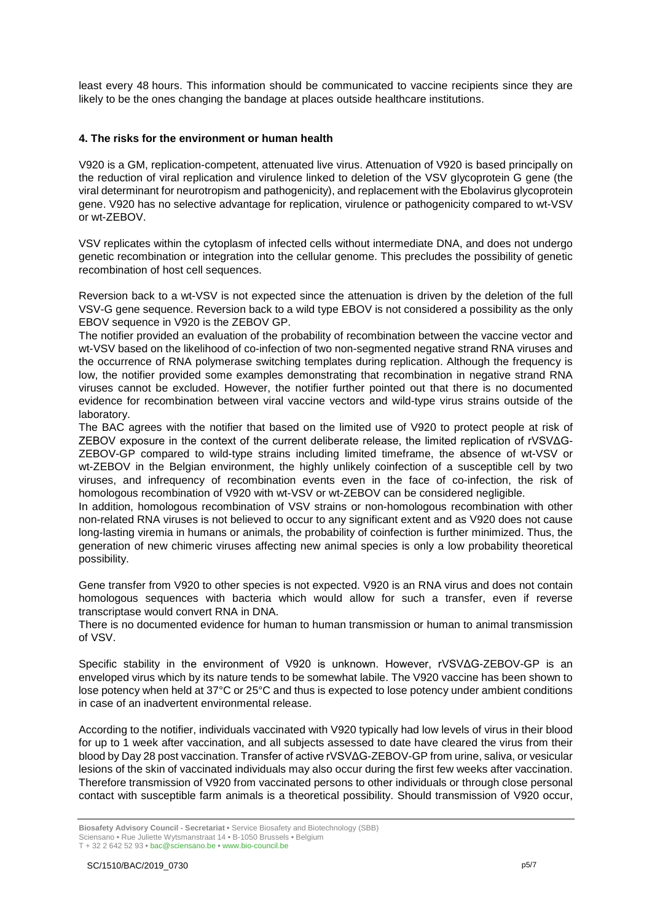least every 48 hours. This information should be communicated to vaccine recipients since they are likely to be the ones changing the bandage at places outside healthcare institutions.

## **4. The risks for the environment or human health**

V920 is a GM, replication-competent, attenuated live virus. Attenuation of V920 is based principally on the reduction of viral replication and virulence linked to deletion of the VSV glycoprotein G gene (the viral determinant for neurotropism and pathogenicity), and replacement with the Ebolavirus glycoprotein gene. V920 has no selective advantage for replication, virulence or pathogenicity compared to wt-VSV or wt-ZEBOV.

VSV replicates within the cytoplasm of infected cells without intermediate DNA, and does not undergo genetic recombination or integration into the cellular genome. This precludes the possibility of genetic recombination of host cell sequences.

Reversion back to a wt-VSV is not expected since the attenuation is driven by the deletion of the full VSV-G gene sequence. Reversion back to a wild type EBOV is not considered a possibility as the only EBOV sequence in V920 is the ZEBOV GP.

The notifier provided an evaluation of the probability of recombination between the vaccine vector and wt-VSV based on the likelihood of co-infection of two non-segmented negative strand RNA viruses and the occurrence of RNA polymerase switching templates during replication. Although the frequency is low, the notifier provided some examples demonstrating that recombination in negative strand RNA viruses cannot be excluded. However, the notifier further pointed out that there is no documented evidence for recombination between viral vaccine vectors and wild-type virus strains outside of the laboratory.

The BAC agrees with the notifier that based on the limited use of V920 to protect people at risk of ZEBOV exposure in the context of the current deliberate release, the limited replication of rVSVΔG-ZEBOV-GP compared to wild-type strains including limited timeframe, the absence of wt-VSV or wt-ZEBOV in the Belgian environment, the highly unlikely coinfection of a susceptible cell by two viruses, and infrequency of recombination events even in the face of co-infection, the risk of homologous recombination of V920 with wt-VSV or wt-ZEBOV can be considered negligible.

In addition, homologous recombination of VSV strains or non-homologous recombination with other non-related RNA viruses is not believed to occur to any significant extent and as V920 does not cause long-lasting viremia in humans or animals, the probability of coinfection is further minimized. Thus, the generation of new chimeric viruses affecting new animal species is only a low probability theoretical possibility.

Gene transfer from V920 to other species is not expected. V920 is an RNA virus and does not contain homologous sequences with bacteria which would allow for such a transfer, even if reverse transcriptase would convert RNA in DNA.

There is no documented evidence for human to human transmission or human to animal transmission of VSV.

Specific stability in the environment of V920 is unknown. However, rVSVΔG-ZEBOV-GP is an enveloped virus which by its nature tends to be somewhat labile. The V920 vaccine has been shown to lose potency when held at 37°C or 25°C and thus is expected to lose potency under ambient conditions in case of an inadvertent environmental release.

According to the notifier, individuals vaccinated with V920 typically had low levels of virus in their blood for up to 1 week after vaccination, and all subjects assessed to date have cleared the virus from their blood by Day 28 post vaccination. Transfer of active rVSVΔG-ZEBOV-GP from urine, saliva, or vesicular lesions of the skin of vaccinated individuals may also occur during the first few weeks after vaccination. Therefore transmission of V920 from vaccinated persons to other individuals or through close personal contact with susceptible farm animals is a theoretical possibility. Should transmission of V920 occur,

**Biosafety Advisory Council - Secretariat •** Service Biosafety and Biotechnology (SBB) Sciensano **•** Rue Juliette Wytsmanstraat 14 **•** B-1050 Brussels **•** Belgium

T + 32 2 642 52 93 **•** bac@sciensano.be **•** www.bio-council.be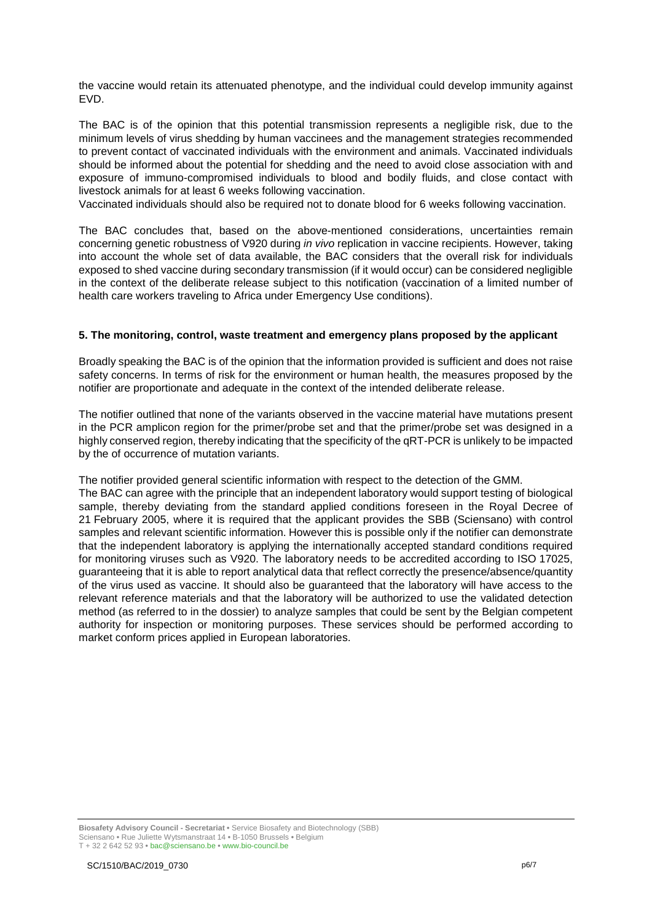the vaccine would retain its attenuated phenotype, and the individual could develop immunity against EVD.

The BAC is of the opinion that this potential transmission represents a negligible risk, due to the minimum levels of virus shedding by human vaccinees and the management strategies recommended to prevent contact of vaccinated individuals with the environment and animals. Vaccinated individuals should be informed about the potential for shedding and the need to avoid close association with and exposure of immuno-compromised individuals to blood and bodily fluids, and close contact with livestock animals for at least 6 weeks following vaccination.

Vaccinated individuals should also be required not to donate blood for 6 weeks following vaccination.

The BAC concludes that, based on the above-mentioned considerations, uncertainties remain concerning genetic robustness of V920 during *in vivo* replication in vaccine recipients. However, taking into account the whole set of data available, the BAC considers that the overall risk for individuals exposed to shed vaccine during secondary transmission (if it would occur) can be considered negligible in the context of the deliberate release subject to this notification (vaccination of a limited number of health care workers traveling to Africa under Emergency Use conditions).

## **5. The monitoring, control, waste treatment and emergency plans proposed by the applicant**

Broadly speaking the BAC is of the opinion that the information provided is sufficient and does not raise safety concerns. In terms of risk for the environment or human health, the measures proposed by the notifier are proportionate and adequate in the context of the intended deliberate release.

The notifier outlined that none of the variants observed in the vaccine material have mutations present in the PCR amplicon region for the primer/probe set and that the primer/probe set was designed in a highly conserved region, thereby indicating that the specificity of the qRT-PCR is unlikely to be impacted by the of occurrence of mutation variants.

The notifier provided general scientific information with respect to the detection of the GMM.

The BAC can agree with the principle that an independent laboratory would support testing of biological sample, thereby deviating from the standard applied conditions foreseen in the Royal Decree of 21 February 2005, where it is required that the applicant provides the SBB (Sciensano) with control samples and relevant scientific information. However this is possible only if the notifier can demonstrate that the independent laboratory is applying the internationally accepted standard conditions required for monitoring viruses such as V920. The laboratory needs to be accredited according to ISO 17025, guaranteeing that it is able to report analytical data that reflect correctly the presence/absence/quantity of the virus used as vaccine. It should also be guaranteed that the laboratory will have access to the relevant reference materials and that the laboratory will be authorized to use the validated detection method (as referred to in the dossier) to analyze samples that could be sent by the Belgian competent authority for inspection or monitoring purposes. These services should be performed according to market conform prices applied in European laboratories.

**Biosafety Advisory Council - Secretariat •** Service Biosafety and Biotechnology (SBB) Sciensano **•** Rue Juliette Wytsmanstraat 14 **•** B-1050 Brussels **•** Belgium T + 32 2 642 52 93 **•** bac@sciensano.be **•** www.bio-council.be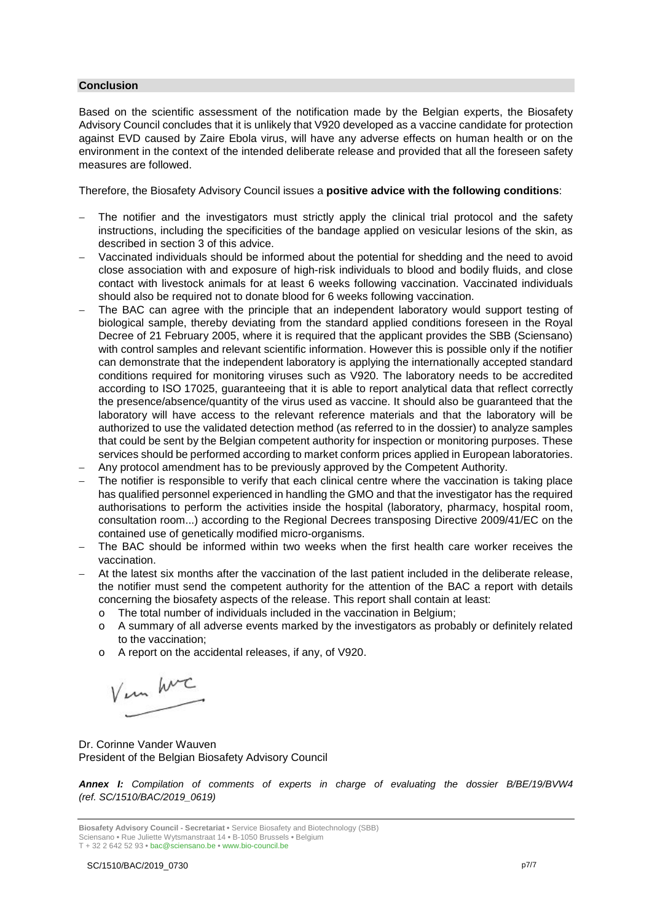## **Conclusion**

Based on the scientific assessment of the notification made by the Belgian experts, the Biosafety Advisory Council concludes that it is unlikely that V920 developed as a vaccine candidate for protection against EVD caused by Zaire Ebola virus, will have any adverse effects on human health or on the environment in the context of the intended deliberate release and provided that all the foreseen safety measures are followed.

Therefore, the Biosafety Advisory Council issues a **positive advice with the following conditions**:

- The notifier and the investigators must strictly apply the clinical trial protocol and the safety instructions, including the specificities of the bandage applied on vesicular lesions of the skin, as described in section 3 of this advice.
- Vaccinated individuals should be informed about the potential for shedding and the need to avoid close association with and exposure of high-risk individuals to blood and bodily fluids, and close contact with livestock animals for at least 6 weeks following vaccination. Vaccinated individuals should also be required not to donate blood for 6 weeks following vaccination.
- The BAC can agree with the principle that an independent laboratory would support testing of biological sample, thereby deviating from the standard applied conditions foreseen in the Royal Decree of 21 February 2005, where it is required that the applicant provides the SBB (Sciensano) with control samples and relevant scientific information. However this is possible only if the notifier can demonstrate that the independent laboratory is applying the internationally accepted standard conditions required for monitoring viruses such as V920. The laboratory needs to be accredited according to ISO 17025, guaranteeing that it is able to report analytical data that reflect correctly the presence/absence/quantity of the virus used as vaccine. It should also be guaranteed that the laboratory will have access to the relevant reference materials and that the laboratory will be authorized to use the validated detection method (as referred to in the dossier) to analyze samples that could be sent by the Belgian competent authority for inspection or monitoring purposes. These services should be performed according to market conform prices applied in European laboratories.
- Any protocol amendment has to be previously approved by the Competent Authority.
- The notifier is responsible to verify that each clinical centre where the vaccination is taking place has qualified personnel experienced in handling the GMO and that the investigator has the required authorisations to perform the activities inside the hospital (laboratory, pharmacy, hospital room, consultation room...) according to the Regional Decrees transposing Directive 2009/41/EC on the contained use of genetically modified micro-organisms.
- The BAC should be informed within two weeks when the first health care worker receives the vaccination.
- At the latest six months after the vaccination of the last patient included in the deliberate release, the notifier must send the competent authority for the attention of the BAC a report with details concerning the biosafety aspects of the release. This report shall contain at least:
	- o The total number of individuals included in the vaccination in Belgium;
	- o A summary of all adverse events marked by the investigators as probably or definitely related to the vaccination;
	- o A report on the accidental releases, if any, of V920.

Vem hvc

Dr. Corinne Vander Wauven President of the Belgian Biosafety Advisory Council

*Annex I: Compilation of comments of experts in charge of evaluating the dossier B/BE/19/BVW4 (ref. SC/1510/BAC/2019\_0619)*

**Biosafety Advisory Council - Secretariat •** Service Biosafety and Biotechnology (SBB) Sciensano **•** Rue Juliette Wytsmanstraat 14 **•** B-1050 Brussels **•** Belgium

T + 32 2 642 52 93 **•** bac@sciensano.be **•** www.bio-council.be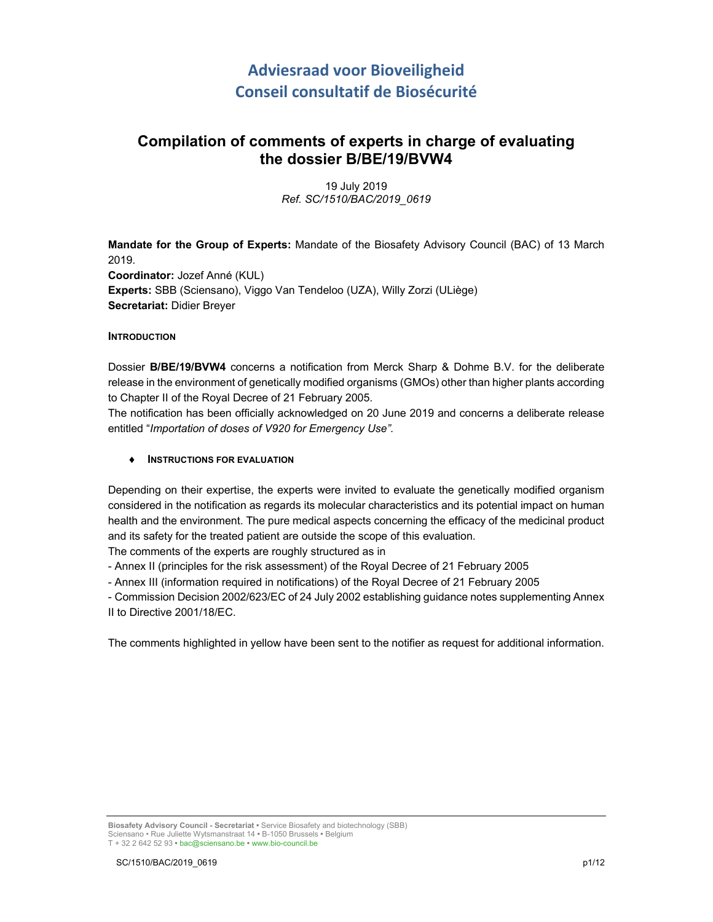## **Adviesraad voor Bioveiligheid Conseil consultatif de Biosécurité**

## **Compilation of comments of experts in charge of evaluating the dossier B/BE/19/BVW4**

19 July 2019 *Ref. SC/1510/BAC/2019\_0619*

**Mandate for the Group of Experts:** Mandate of the Biosafety Advisory Council (BAC) of 13 March 2019. **Coordinator:** Jozef Anné (KUL) **Experts:** SBB (Sciensano), Viggo Van Tendeloo (UZA), Willy Zorzi (ULiège) **Secretariat:** Didier Breyer

## **INTRODUCTION**

Dossier **B/BE/19/BVW4** concerns a notification from Merck Sharp & Dohme B.V. for the deliberate release in the environment of genetically modified organisms (GMOs) other than higher plants according to Chapter II of the Royal Decree of 21 February 2005.

The notification has been officially acknowledged on 20 June 2019 and concerns a deliberate release entitled "*Importation of doses of V920 for Emergency Use"*.

## **INSTRUCTIONS FOR EVALUATION**

Depending on their expertise, the experts were invited to evaluate the genetically modified organism considered in the notification as regards its molecular characteristics and its potential impact on human health and the environment. The pure medical aspects concerning the efficacy of the medicinal product and its safety for the treated patient are outside the scope of this evaluation.

The comments of the experts are roughly structured as in

- Annex II (principles for the risk assessment) of the Royal Decree of 21 February 2005

- Annex III (information required in notifications) of the Royal Decree of 21 February 2005

- Commission Decision 2002/623/EC of 24 July 2002 establishing guidance notes supplementing Annex II to Directive 2001/18/EC.

The comments highlighted in yellow have been sent to the notifier as request for additional information.

**Biosafety Advisory Council - Secretariat •** Service Biosafety and biotechnology (SBB) Sciensano • Rue Juliette Wytsmanstraat 14 **•** B-1050 Brussels **•** Belgium T + 32 2 642 52 93 **•** bac@sciensano.be **•** www.bio-council.be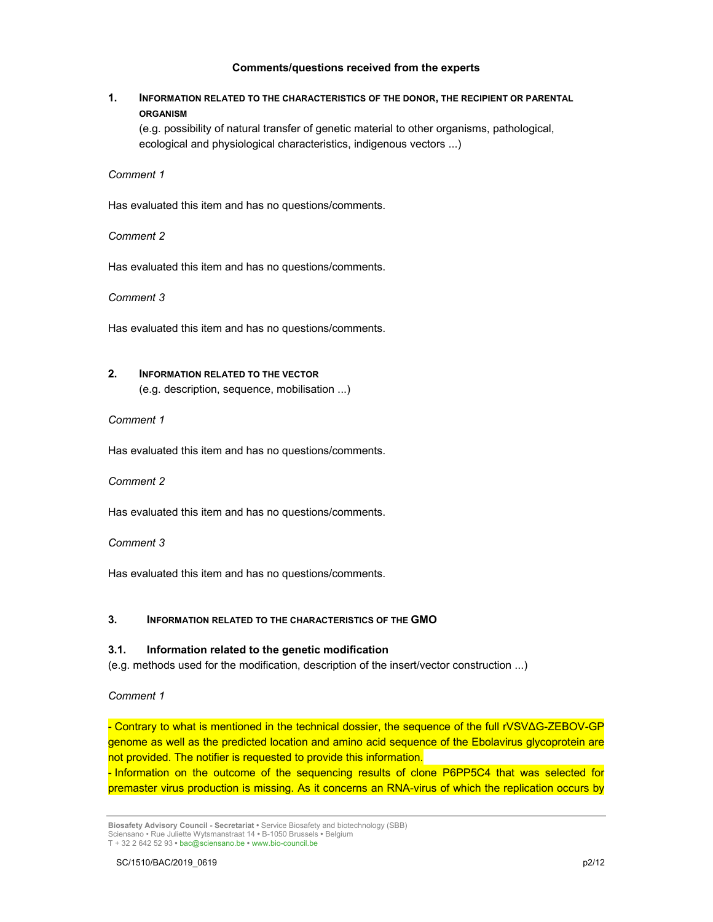## **Comments/questions received from the experts**

## **1. INFORMATION RELATED TO THE CHARACTERISTICS OF THE DONOR, THE RECIPIENT OR PARENTAL ORGANISM**

(e.g. possibility of natural transfer of genetic material to other organisms, pathological, ecological and physiological characteristics, indigenous vectors ...)

#### *Comment 1*

Has evaluated this item and has no questions/comments.

#### *Comment 2*

Has evaluated this item and has no questions/comments.

#### *Comment 3*

Has evaluated this item and has no questions/comments.

## **2. INFORMATION RELATED TO THE VECTOR**

(e.g. description, sequence, mobilisation ...)

#### *Comment 1*

Has evaluated this item and has no questions/comments.

#### *Comment 2*

Has evaluated this item and has no questions/comments.

#### *Comment 3*

Has evaluated this item and has no questions/comments.

## **3. INFORMATION RELATED TO THE CHARACTERISTICS OF THE GMO**

#### **3.1. Information related to the genetic modification**

(e.g. methods used for the modification, description of the insert/vector construction ...)

#### *Comment 1*

- Contrary to what is mentioned in the technical dossier, the sequence of the full rVSVΔG-ZEBOV-GP genome as well as the predicted location and amino acid sequence of the Ebolavirus glycoprotein are not provided. The notifier is requested to provide this information.

- Information on the outcome of the sequencing results of clone P6PP5C4 that was selected for premaster virus production is missing. As it concerns an RNA-virus of which the replication occurs by

**Biosafety Advisory Council - Secretariat •** Service Biosafety and biotechnology (SBB) Sciensano • Rue Juliette Wytsmanstraat 14 **•** B-1050 Brussels **•** Belgium T + 32 2 642 52 93 **•** bac@sciensano.be **•** www.bio-council.be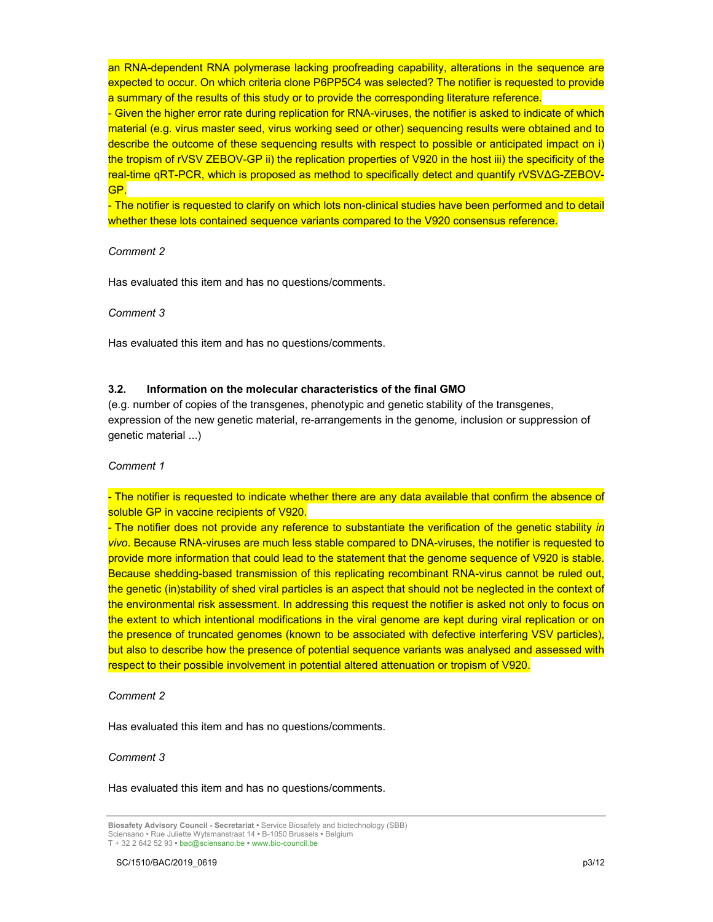an RNA-dependent RNA polymerase lacking proofreading capability, alterations in the sequence are expected to occur. On which criteria clone P6PP5C4 was selected? The notifier is requested to provide a summary of the results of this study or to provide the corresponding literature reference.

- Given the higher error rate during replication for RNA-viruses, the notifier is asked to indicate of which material (e.g. virus master seed, virus working seed or other) sequencing results were obtained and to describe the outcome of these sequencing results with respect to possible or anticipated impact on i) the tropism of rVSV ZEBOV-GP ii) the replication properties of V920 in the host iii) the specificity of the real-time qRT-PCR, which is proposed as method to specifically detect and quantify rVSVΔG-ZEBOV-GP.

- The notifier is requested to clarify on which lots non-clinical studies have been performed and to detail whether these lots contained sequence variants compared to the V920 consensus reference.

## *Comment 2*

Has evaluated this item and has no questions/comments.

*Comment 3*

Has evaluated this item and has no questions/comments.

#### **3.2. Information on the molecular characteristics of the final GMO**

(e.g. number of copies of the transgenes, phenotypic and genetic stability of the transgenes, expression of the new genetic material, re-arrangements in the genome, inclusion or suppression of genetic material ...)

*Comment 1*

- The notifier is requested to indicate whether there are any data available that confirm the absence of soluble GP in vaccine recipients of V920.

- The notifier does not provide any reference to substantiate the verification of the genetic stability *in vivo*. Because RNA-viruses are much less stable compared to DNA-viruses, the notifier is requested to provide more information that could lead to the statement that the genome sequence of V920 is stable. Because shedding-based transmission of this replicating recombinant RNA-virus cannot be ruled out, the genetic (in)stability of shed viral particles is an aspect that should not be neglected in the context of the environmental risk assessment. In addressing this request the notifier is asked not only to focus on the extent to which intentional modifications in the viral genome are kept during viral replication or on the presence of truncated genomes (known to be associated with defective interfering VSV particles), but also to describe how the presence of potential sequence variants was analysed and assessed with respect to their possible involvement in potential altered attenuation or tropism of V920.

*Comment 2*

Has evaluated this item and has no questions/comments.

#### *Comment 3*

Has evaluated this item and has no questions/comments.

**Biosafety Advisory Council - Secretariat •** Service Biosafety and biotechnology (SBB) Sciensano • Rue Juliette Wytsmanstraat 14 **•** B-1050 Brussels **•** Belgium T + 32 2 642 52 93 **•** bac@sciensano.be **•** www.bio-council.be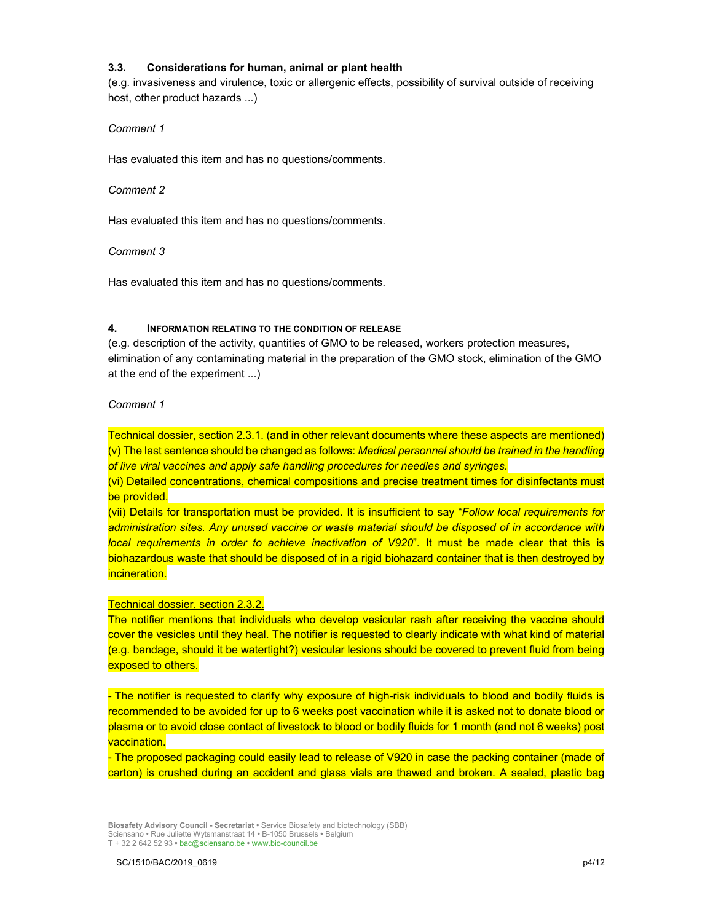## **3.3. Considerations for human, animal or plant health**

(e.g. invasiveness and virulence, toxic or allergenic effects, possibility of survival outside of receiving host, other product hazards ...)

## *Comment 1*

Has evaluated this item and has no questions/comments.

#### *Comment 2*

Has evaluated this item and has no questions/comments.

## *Comment 3*

Has evaluated this item and has no questions/comments.

## **4. INFORMATION RELATING TO THE CONDITION OF RELEASE**

(e.g. description of the activity, quantities of GMO to be released, workers protection measures, elimination of any contaminating material in the preparation of the GMO stock, elimination of the GMO at the end of the experiment ...)

## *Comment 1*

Technical dossier, section 2.3.1. (and in other relevant documents where these aspects are mentioned) (v) The last sentence should be changed as follows: *Medical personnel should be trained in the handling of live viral vaccines and apply safe handling procedures for needles and syringes*.

(vi) Detailed concentrations, chemical compositions and precise treatment times for disinfectants must be provided.

(vii) Details for transportation must be provided. It is insufficient to say "*Follow local requirements for administration sites. Any unused vaccine or waste material should be disposed of in accordance with local requirements in order to achieve inactivation of V920*". It must be made clear that this is biohazardous waste that should be disposed of in a rigid biohazard container that is then destroyed by incineration.

## Technical dossier, section 2.3.2.

The notifier mentions that individuals who develop vesicular rash after receiving the vaccine should cover the vesicles until they heal. The notifier is requested to clearly indicate with what kind of material (e.g. bandage, should it be watertight?) vesicular lesions should be covered to prevent fluid from being exposed to others.

- The notifier is requested to clarify why exposure of high-risk individuals to blood and bodily fluids is recommended to be avoided for up to 6 weeks post vaccination while it is asked not to donate blood or plasma or to avoid close contact of livestock to blood or bodily fluids for 1 month (and not 6 weeks) post vaccination.

- The proposed packaging could easily lead to release of V920 in case the packing container (made of carton) is crushed during an accident and glass vials are thawed and broken. A sealed, plastic bag

**Biosafety Advisory Council - Secretariat •** Service Biosafety and biotechnology (SBB) Sciensano • Rue Juliette Wytsmanstraat 14 **•** B-1050 Brussels **•** Belgium T + 32 2 642 52 93 **•** bac@sciensano.be **•** www.bio-council.be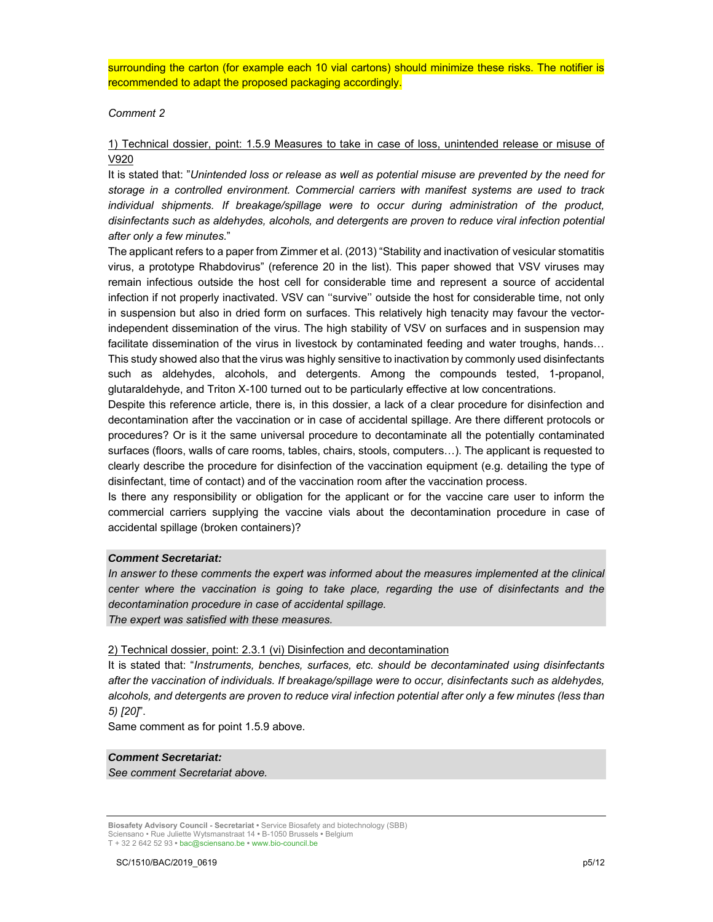surrounding the carton (for example each 10 vial cartons) should minimize these risks. The notifier is recommended to adapt the proposed packaging accordingly.

#### *Comment 2*

## 1) Technical dossier, point: 1.5.9 Measures to take in case of loss, unintended release or misuse of V920

It is stated that: "*Unintended loss or release as well as potential misuse are prevented by the need for storage in a controlled environment. Commercial carriers with manifest systems are used to track individual shipments. If breakage/spillage were to occur during administration of the product, disinfectants such as aldehydes, alcohols, and detergents are proven to reduce viral infection potential after only a few minutes.*"

The applicant refers to a paper from Zimmer et al. (2013) "Stability and inactivation of vesicular stomatitis virus, a prototype Rhabdovirus" (reference 20 in the list). This paper showed that VSV viruses may remain infectious outside the host cell for considerable time and represent a source of accidental infection if not properly inactivated. VSV can ''survive'' outside the host for considerable time, not only in suspension but also in dried form on surfaces. This relatively high tenacity may favour the vectorindependent dissemination of the virus. The high stability of VSV on surfaces and in suspension may facilitate dissemination of the virus in livestock by contaminated feeding and water troughs, hands... This study showed also that the virus was highly sensitive to inactivation by commonly used disinfectants such as aldehydes, alcohols, and detergents. Among the compounds tested, 1-propanol, glutaraldehyde, and Triton X-100 turned out to be particularly effective at low concentrations.

Despite this reference article, there is, in this dossier, a lack of a clear procedure for disinfection and decontamination after the vaccination or in case of accidental spillage. Are there different protocols or procedures? Or is it the same universal procedure to decontaminate all the potentially contaminated surfaces (floors, walls of care rooms, tables, chairs, stools, computers…). The applicant is requested to clearly describe the procedure for disinfection of the vaccination equipment (e.g. detailing the type of disinfectant, time of contact) and of the vaccination room after the vaccination process.

Is there any responsibility or obligation for the applicant or for the vaccine care user to inform the commercial carriers supplying the vaccine vials about the decontamination procedure in case of accidental spillage (broken containers)?

#### *Comment Secretariat:*

*In answer to these comments the expert was informed about the measures implemented at the clinical center where the vaccination is going to take place, regarding the use of disinfectants and the decontamination procedure in case of accidental spillage.* 

*The expert was satisfied with these measures.* 

#### 2) Technical dossier, point: 2.3.1 (vi) Disinfection and decontamination

It is stated that: "*Instruments, benches, surfaces, etc. should be decontaminated using disinfectants after the vaccination of individuals. If breakage/spillage were to occur, disinfectants such as aldehydes, alcohols, and detergents are proven to reduce viral infection potential after only a few minutes (less than 5) [20]*".

Same comment as for point 1.5.9 above.

## *Comment Secretariat:*

*See comment Secretariat above.*

**Biosafety Advisory Council - Secretariat •** Service Biosafety and biotechnology (SBB) Sciensano • Rue Juliette Wytsmanstraat 14 **•** B-1050 Brussels **•** Belgium T + 32 2 642 52 93 **•** bac@sciensano.be **•** www.bio-council.be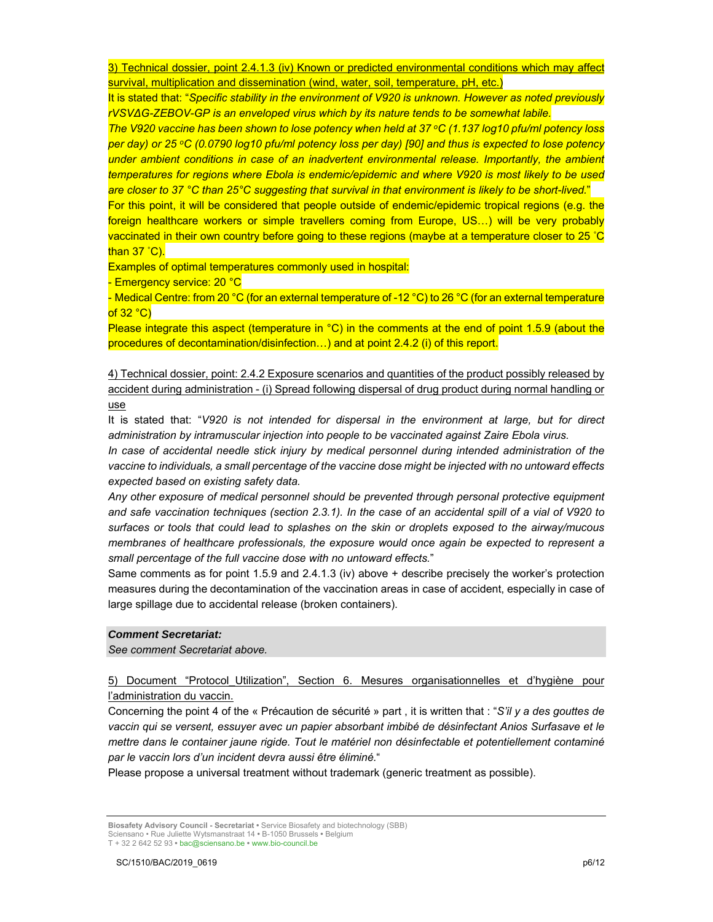3) Technical dossier, point 2.4.1.3 (iv) Known or predicted environmental conditions which may affect survival, multiplication and dissemination (wind, water, soil, temperature, pH, etc.)

It is stated that: "*Specific stability in the environment of V920 is unknown. However as noted previously rVSVΔG-ZEBOV-GP is an enveloped virus which by its nature tends to be somewhat labile.* 

*The V920 vaccine has been shown to lose potency when held at 37 °C (1.137 log10 pfu/ml potency loss per day) or 25 oC (0.0790 log10 pfu/ml potency loss per day) [90] and thus is expected to lose potency under ambient conditions in case of an inadvertent environmental release. Importantly, the ambient temperatures for regions where Ebola is endemic/epidemic and where V920 is most likely to be used are closer to 37 °C than 25°C suggesting that survival in that environment is likely to be short-lived.*"

For this point, it will be considered that people outside of endemic/epidemic tropical regions (e.g. the foreign healthcare workers or simple travellers coming from Europe, US…) will be very probably vaccinated in their own country before going to these regions (maybe at a temperature closer to 25 ° C than 37 ° C).

Examples of optimal temperatures commonly used in hospital:

- Emergency service: 20 °C

- Medical Centre: from 20 °C (for an external temperature of -12 °C) to 26 °C (for an external temperature of  $32 °C$ )

Please integrate this aspect (temperature in °C) in the comments at the end of point 1.5.9 (about the procedures of decontamination/disinfection…) and at point 2.4.2 (i) of this report.

4) Technical dossier, point: 2.4.2 Exposure scenarios and quantities of the product possibly released by accident during administration - (i) Spread following dispersal of drug product during normal handling or use

It is stated that: "*V920 is not intended for dispersal in the environment at large, but for direct administration by intramuscular injection into people to be vaccinated against Zaire Ebola virus.* 

*In case of accidental needle stick injury by medical personnel during intended administration of the vaccine to individuals, a small percentage of the vaccine dose might be injected with no untoward effects expected based on existing safety data.* 

*Any other exposure of medical personnel should be prevented through personal protective equipment and safe vaccination techniques (section 2.3.1). In the case of an accidental spill of a vial of V920 to surfaces or tools that could lead to splashes on the skin or droplets exposed to the airway/mucous membranes of healthcare professionals, the exposure would once again be expected to represent a small percentage of the full vaccine dose with no untoward effects.*"

Same comments as for point 1.5.9 and 2.4.1.3 (iv) above + describe precisely the worker's protection measures during the decontamination of the vaccination areas in case of accident, especially in case of large spillage due to accidental release (broken containers).

## *Comment Secretariat:*

*See comment Secretariat above.*

5) Document "Protocol\_Utilization", Section 6. Mesures organisationnelles et d'hygiène pour l'administration du vaccin.

Concerning the point 4 of the « Précaution de sécurité » part , it is written that : "*S'il y a des gouttes de vaccin qui se versent, essuyer avec un papier absorbant imbibé de désinfectant Anios Surfasave et le mettre dans le container jaune rigide. Tout le matériel non désinfectable et potentiellement contaminé par le vaccin lors d'un incident devra aussi être éliminé.*"

Please propose a universal treatment without trademark (generic treatment as possible).

**Biosafety Advisory Council - Secretariat •** Service Biosafety and biotechnology (SBB) Sciensano • Rue Juliette Wytsmanstraat 14 **•** B-1050 Brussels **•** Belgium T + 32 2 642 52 93 **•** bac@sciensano.be **•** www.bio-council.be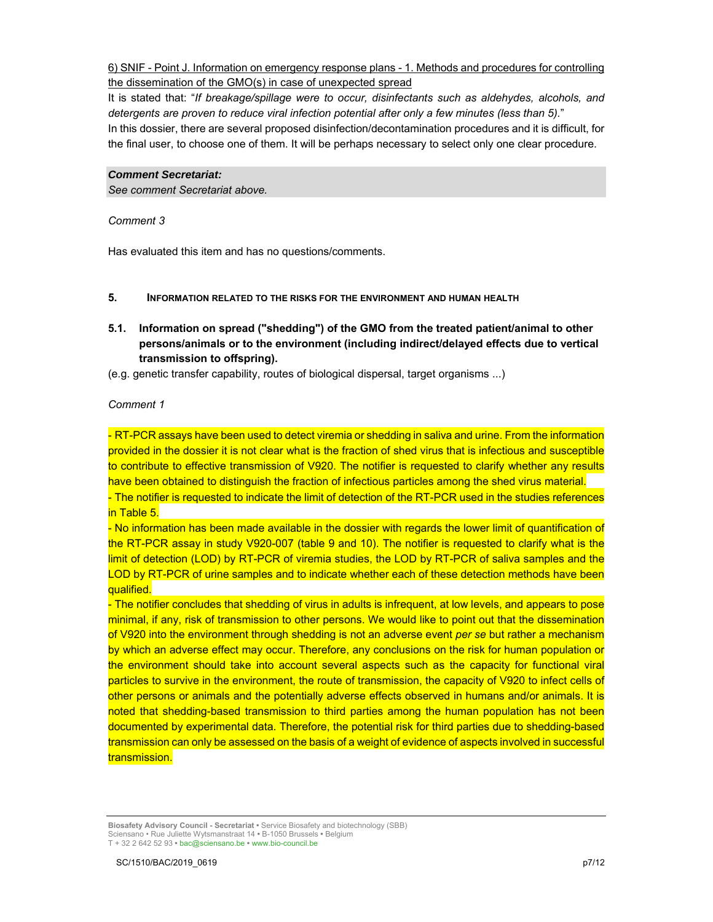6) SNIF - Point J. Information on emergency response plans - 1. Methods and procedures for controlling the dissemination of the GMO(s) in case of unexpected spread

It is stated that: "*If breakage/spillage were to occur, disinfectants such as aldehydes, alcohols, and detergents are proven to reduce viral infection potential after only a few minutes (less than 5).*" In this dossier, there are several proposed disinfection/decontamination procedures and it is difficult, for the final user, to choose one of them. It will be perhaps necessary to select only one clear procedure.

#### *Comment Secretariat:*

*See comment Secretariat above.*

*Comment 3*

Has evaluated this item and has no questions/comments.

#### **5. INFORMATION RELATED TO THE RISKS FOR THE ENVIRONMENT AND HUMAN HEALTH**

**5.1. Information on spread ("shedding") of the GMO from the treated patient/animal to other persons/animals or to the environment (including indirect/delayed effects due to vertical transmission to offspring).** 

(e.g. genetic transfer capability, routes of biological dispersal, target organisms ...)

## *Comment 1*

- RT-PCR assays have been used to detect viremia or shedding in saliva and urine. From the information provided in the dossier it is not clear what is the fraction of shed virus that is infectious and susceptible to contribute to effective transmission of V920. The notifier is requested to clarify whether any results have been obtained to distinguish the fraction of infectious particles among the shed virus material.

- The notifier is requested to indicate the limit of detection of the RT-PCR used in the studies references in Table 5.

- No information has been made available in the dossier with regards the lower limit of quantification of the RT-PCR assay in study V920-007 (table 9 and 10). The notifier is requested to clarify what is the limit of detection (LOD) by RT-PCR of viremia studies, the LOD by RT-PCR of saliva samples and the LOD by RT-PCR of urine samples and to indicate whether each of these detection methods have been qualified.

- The notifier concludes that shedding of virus in adults is infrequent, at low levels, and appears to pose minimal, if any, risk of transmission to other persons. We would like to point out that the dissemination of V920 into the environment through shedding is not an adverse event *per se* but rather a mechanism by which an adverse effect may occur. Therefore, any conclusions on the risk for human population or the environment should take into account several aspects such as the capacity for functional viral particles to survive in the environment, the route of transmission, the capacity of V920 to infect cells of other persons or animals and the potentially adverse effects observed in humans and/or animals. It is noted that shedding-based transmission to third parties among the human population has not been documented by experimental data. Therefore, the potential risk for third parties due to shedding-based transmission can only be assessed on the basis of a weight of evidence of aspects involved in successful transmission.

**Biosafety Advisory Council - Secretariat •** Service Biosafety and biotechnology (SBB) Sciensano • Rue Juliette Wytsmanstraat 14 **•** B-1050 Brussels **•** Belgium T + 32 2 642 52 93 **•** bac@sciensano.be **•** www.bio-council.be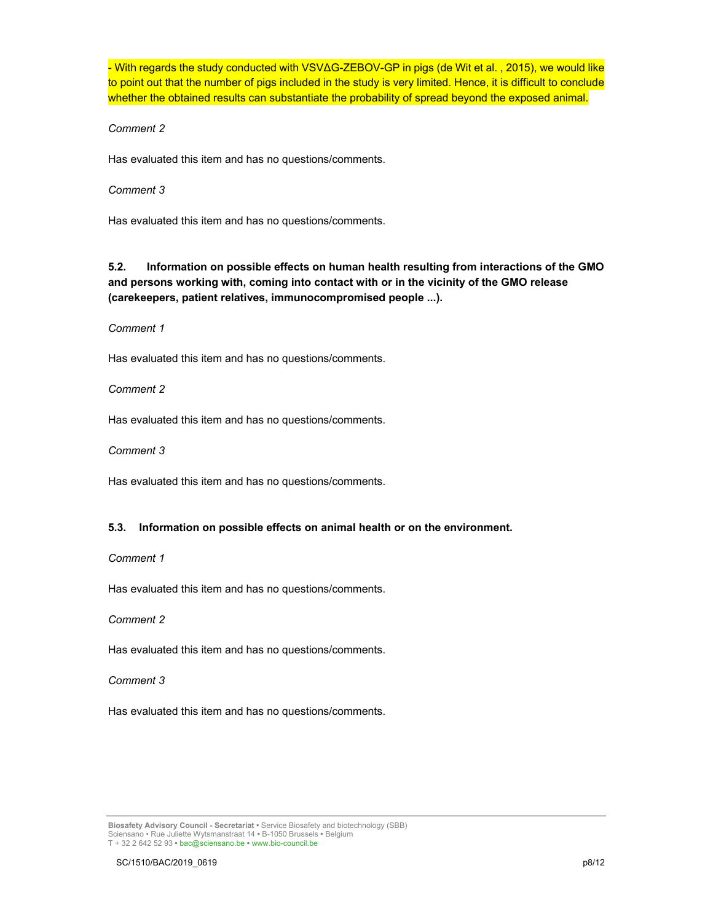- With regards the study conducted with VSVΔG-ZEBOV-GP in pigs (de Wit et al. , 2015), we would like to point out that the number of pigs included in the study is very limited. Hence, it is difficult to conclude whether the obtained results can substantiate the probability of spread beyond the exposed animal.

*Comment 2*

Has evaluated this item and has no questions/comments.

#### *Comment 3*

Has evaluated this item and has no questions/comments.

**5.2. Information on possible effects on human health resulting from interactions of the GMO and persons working with, coming into contact with or in the vicinity of the GMO release (carekeepers, patient relatives, immunocompromised people ...).**

#### *Comment 1*

Has evaluated this item and has no questions/comments.

*Comment 2*

Has evaluated this item and has no questions/comments.

*Comment 3*

Has evaluated this item and has no questions/comments.

## **5.3. Information on possible effects on animal health or on the environment.**

## *Comment 1*

Has evaluated this item and has no questions/comments.

*Comment 2*

Has evaluated this item and has no questions/comments.

*Comment 3*

Has evaluated this item and has no questions/comments.

**Biosafety Advisory Council - Secretariat •** Service Biosafety and biotechnology (SBB) Sciensano • Rue Juliette Wytsmanstraat 14 **•** B-1050 Brussels **•** Belgium T + 32 2 642 52 93 **•** bac@sciensano.be **•** www.bio-council.be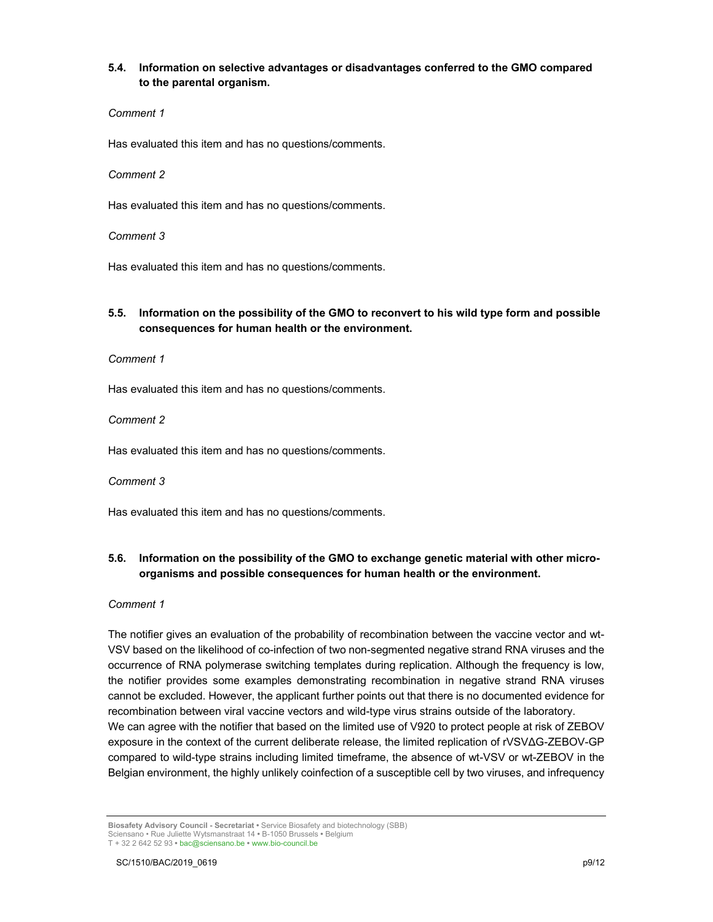## **5.4. Information on selective advantages or disadvantages conferred to the GMO compared to the parental organism.**

#### *Comment 1*

Has evaluated this item and has no questions/comments.

#### *Comment 2*

Has evaluated this item and has no questions/comments.

*Comment 3*

Has evaluated this item and has no questions/comments.

## **5.5. Information on the possibility of the GMO to reconvert to his wild type form and possible consequences for human health or the environment.**

*Comment 1*

Has evaluated this item and has no questions/comments.

*Comment 2*

Has evaluated this item and has no questions/comments.

*Comment 3*

Has evaluated this item and has no questions/comments.

## **5.6. Information on the possibility of the GMO to exchange genetic material with other microorganisms and possible consequences for human health or the environment.**

*Comment 1*

The notifier gives an evaluation of the probability of recombination between the vaccine vector and wt-VSV based on the likelihood of co-infection of two non-segmented negative strand RNA viruses and the occurrence of RNA polymerase switching templates during replication. Although the frequency is low, the notifier provides some examples demonstrating recombination in negative strand RNA viruses cannot be excluded. However, the applicant further points out that there is no documented evidence for recombination between viral vaccine vectors and wild-type virus strains outside of the laboratory. We can agree with the notifier that based on the limited use of V920 to protect people at risk of ZEBOV exposure in the context of the current deliberate release, the limited replication of rVSVΔG-ZEBOV-GP compared to wild-type strains including limited timeframe, the absence of wt-VSV or wt-ZEBOV in the Belgian environment, the highly unlikely coinfection of a susceptible cell by two viruses, and infrequency

**Biosafety Advisory Council - Secretariat •** Service Biosafety and biotechnology (SBB) Sciensano • Rue Juliette Wytsmanstraat 14 **•** B-1050 Brussels **•** Belgium T + 32 2 642 52 93 **•** bac@sciensano.be **•** www.bio-council.be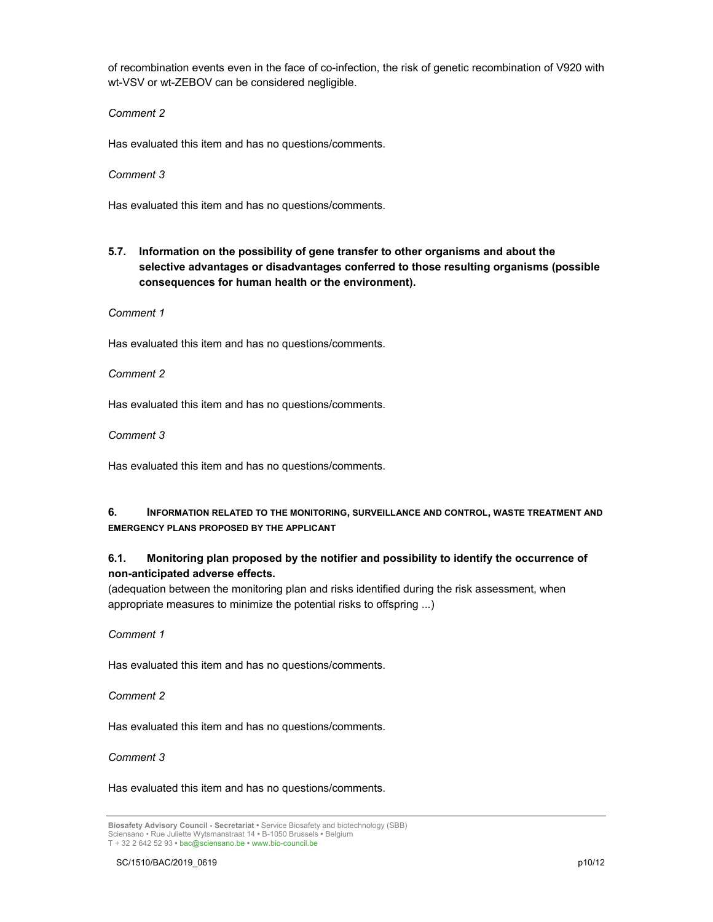of recombination events even in the face of co-infection, the risk of genetic recombination of V920 with wt-VSV or wt-ZEBOV can be considered negligible.

*Comment 2*

Has evaluated this item and has no questions/comments.

*Comment 3*

Has evaluated this item and has no questions/comments.

**5.7. Information on the possibility of gene transfer to other organisms and about the selective advantages or disadvantages conferred to those resulting organisms (possible consequences for human health or the environment).** 

*Comment 1*

Has evaluated this item and has no questions/comments.

*Comment 2*

Has evaluated this item and has no questions/comments.

*Comment 3*

Has evaluated this item and has no questions/comments.

## **6. INFORMATION RELATED TO THE MONITORING, SURVEILLANCE AND CONTROL, WASTE TREATMENT AND EMERGENCY PLANS PROPOSED BY THE APPLICANT**

## **6.1. Monitoring plan proposed by the notifier and possibility to identify the occurrence of non-anticipated adverse effects.**

(adequation between the monitoring plan and risks identified during the risk assessment, when appropriate measures to minimize the potential risks to offspring ...)

*Comment 1*

Has evaluated this item and has no questions/comments.

*Comment 2*

Has evaluated this item and has no questions/comments.

*Comment 3*

Has evaluated this item and has no questions/comments.

**Biosafety Advisory Council - Secretariat •** Service Biosafety and biotechnology (SBB) Sciensano • Rue Juliette Wytsmanstraat 14 **•** B-1050 Brussels **•** Belgium T + 32 2 642 52 93 **•** bac@sciensano.be **•** www.bio-council.be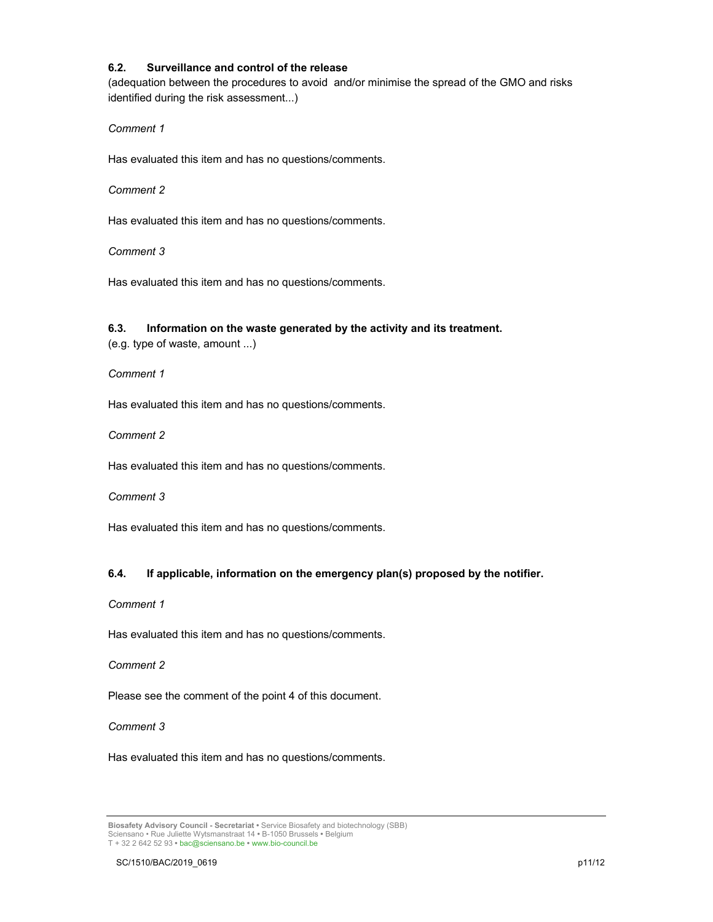## **6.2. Surveillance and control of the release**

(adequation between the procedures to avoid and/or minimise the spread of the GMO and risks identified during the risk assessment...)

*Comment 1*

Has evaluated this item and has no questions/comments.

#### *Comment 2*

Has evaluated this item and has no questions/comments.

## *Comment 3*

Has evaluated this item and has no questions/comments.

## **6.3. Information on the waste generated by the activity and its treatment.**

(e.g. type of waste, amount ...)

*Comment 1*

Has evaluated this item and has no questions/comments.

*Comment 2*

Has evaluated this item and has no questions/comments.

*Comment 3*

Has evaluated this item and has no questions/comments.

## **6.4. If applicable, information on the emergency plan(s) proposed by the notifier.**

*Comment 1*

Has evaluated this item and has no questions/comments.

## *Comment 2*

Please see the comment of the point 4 of this document.

## *Comment 3*

Has evaluated this item and has no questions/comments.

**Biosafety Advisory Council - Secretariat •** Service Biosafety and biotechnology (SBB) Sciensano • Rue Juliette Wytsmanstraat 14 **•** B-1050 Brussels **•** Belgium T + 32 2 642 52 93 **•** bac@sciensano.be **•** www.bio-council.be